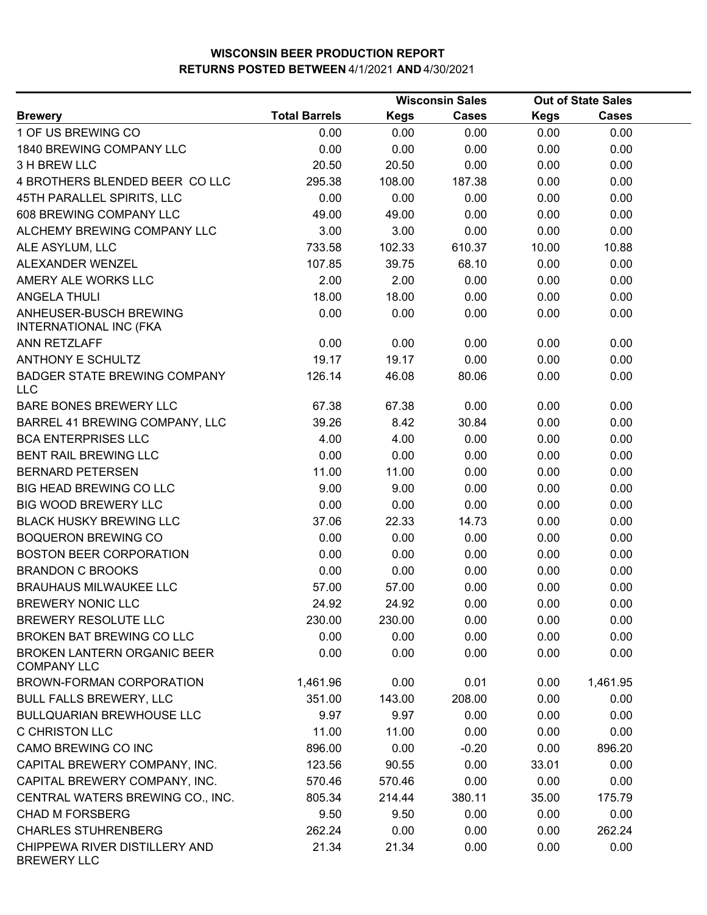|                                                          |                      |             | <b>Wisconsin Sales</b> |             | <b>Out of State Sales</b> |  |
|----------------------------------------------------------|----------------------|-------------|------------------------|-------------|---------------------------|--|
| <b>Brewery</b>                                           | <b>Total Barrels</b> | <b>Kegs</b> | <b>Cases</b>           | <b>Kegs</b> | <b>Cases</b>              |  |
| 1 OF US BREWING CO                                       | 0.00                 | 0.00        | 0.00                   | 0.00        | 0.00                      |  |
| 1840 BREWING COMPANY LLC                                 | 0.00                 | 0.00        | 0.00                   | 0.00        | 0.00                      |  |
| 3 H BREW LLC                                             | 20.50                | 20.50       | 0.00                   | 0.00        | 0.00                      |  |
| 4 BROTHERS BLENDED BEER COLLC                            | 295.38               | 108.00      | 187.38                 | 0.00        | 0.00                      |  |
| 45TH PARALLEL SPIRITS, LLC                               | 0.00                 | 0.00        | 0.00                   | 0.00        | 0.00                      |  |
| 608 BREWING COMPANY LLC                                  | 49.00                | 49.00       | 0.00                   | 0.00        | 0.00                      |  |
| ALCHEMY BREWING COMPANY LLC                              | 3.00                 | 3.00        | 0.00                   | 0.00        | 0.00                      |  |
| ALE ASYLUM, LLC                                          | 733.58               | 102.33      | 610.37                 | 10.00       | 10.88                     |  |
| ALEXANDER WENZEL                                         | 107.85               | 39.75       | 68.10                  | 0.00        | 0.00                      |  |
| AMERY ALE WORKS LLC                                      | 2.00                 | 2.00        | 0.00                   | 0.00        | 0.00                      |  |
| <b>ANGELA THULI</b>                                      | 18.00                | 18.00       | 0.00                   | 0.00        | 0.00                      |  |
| ANHEUSER-BUSCH BREWING<br><b>INTERNATIONAL INC (FKA</b>  | 0.00                 | 0.00        | 0.00                   | 0.00        | 0.00                      |  |
| ANN RETZLAFF                                             | 0.00                 | 0.00        | 0.00                   | 0.00        | 0.00                      |  |
| <b>ANTHONY E SCHULTZ</b>                                 | 19.17                | 19.17       | 0.00                   | 0.00        | 0.00                      |  |
| <b>BADGER STATE BREWING COMPANY</b><br><b>LLC</b>        | 126.14               | 46.08       | 80.06                  | 0.00        | 0.00                      |  |
| BARE BONES BREWERY LLC                                   | 67.38                | 67.38       | 0.00                   | 0.00        | 0.00                      |  |
| BARREL 41 BREWING COMPANY, LLC                           | 39.26                | 8.42        | 30.84                  | 0.00        | 0.00                      |  |
| <b>BCA ENTERPRISES LLC</b>                               | 4.00                 | 4.00        | 0.00                   | 0.00        | 0.00                      |  |
| BENT RAIL BREWING LLC                                    | 0.00                 | 0.00        | 0.00                   | 0.00        | 0.00                      |  |
| <b>BERNARD PETERSEN</b>                                  | 11.00                | 11.00       | 0.00                   | 0.00        | 0.00                      |  |
| <b>BIG HEAD BREWING CO LLC</b>                           | 9.00                 | 9.00        | 0.00                   | 0.00        | 0.00                      |  |
| <b>BIG WOOD BREWERY LLC</b>                              | 0.00                 | 0.00        | 0.00                   | 0.00        | 0.00                      |  |
| <b>BLACK HUSKY BREWING LLC</b>                           | 37.06                | 22.33       | 14.73                  | 0.00        | 0.00                      |  |
| <b>BOQUERON BREWING CO</b>                               | 0.00                 | 0.00        | 0.00                   | 0.00        | 0.00                      |  |
| <b>BOSTON BEER CORPORATION</b>                           | 0.00                 | 0.00        | 0.00                   | 0.00        | 0.00                      |  |
| <b>BRANDON C BROOKS</b>                                  | 0.00                 | 0.00        | 0.00                   | 0.00        | 0.00                      |  |
| <b>BRAUHAUS MILWAUKEE LLC</b>                            | 57.00                | 57.00       | 0.00                   | 0.00        | 0.00                      |  |
| <b>BREWERY NONIC LLC</b>                                 | 24.92                | 24.92       | 0.00                   | 0.00        | 0.00                      |  |
| <b>BREWERY RESOLUTE LLC</b>                              | 230.00               | 230.00      | 0.00                   | 0.00        | 0.00                      |  |
| BROKEN BAT BREWING CO LLC                                | 0.00                 | 0.00        | 0.00                   | 0.00        | 0.00                      |  |
| <b>BROKEN LANTERN ORGANIC BEER</b><br><b>COMPANY LLC</b> | 0.00                 | 0.00        | 0.00                   | 0.00        | 0.00                      |  |
| BROWN-FORMAN CORPORATION                                 | 1,461.96             | 0.00        | 0.01                   | 0.00        | 1,461.95                  |  |
| <b>BULL FALLS BREWERY, LLC</b>                           | 351.00               | 143.00      | 208.00                 | 0.00        | 0.00                      |  |
| <b>BULLQUARIAN BREWHOUSE LLC</b>                         | 9.97                 | 9.97        | 0.00                   | 0.00        | 0.00                      |  |
| <b>C CHRISTON LLC</b>                                    | 11.00                | 11.00       | 0.00                   | 0.00        | 0.00                      |  |
| CAMO BREWING CO INC                                      | 896.00               | 0.00        | $-0.20$                | 0.00        | 896.20                    |  |
| CAPITAL BREWERY COMPANY, INC.                            | 123.56               | 90.55       | 0.00                   | 33.01       | 0.00                      |  |
| CAPITAL BREWERY COMPANY, INC.                            | 570.46               | 570.46      | 0.00                   | 0.00        | 0.00                      |  |
| CENTRAL WATERS BREWING CO., INC.                         | 805.34               | 214.44      | 380.11                 | 35.00       | 175.79                    |  |
| <b>CHAD M FORSBERG</b>                                   | 9.50                 | 9.50        | 0.00                   | 0.00        | 0.00                      |  |
| <b>CHARLES STUHRENBERG</b>                               | 262.24               | 0.00        | 0.00                   | 0.00        | 262.24                    |  |
| CHIPPEWA RIVER DISTILLERY AND<br><b>BREWERY LLC</b>      | 21.34                | 21.34       | 0.00                   | 0.00        | 0.00                      |  |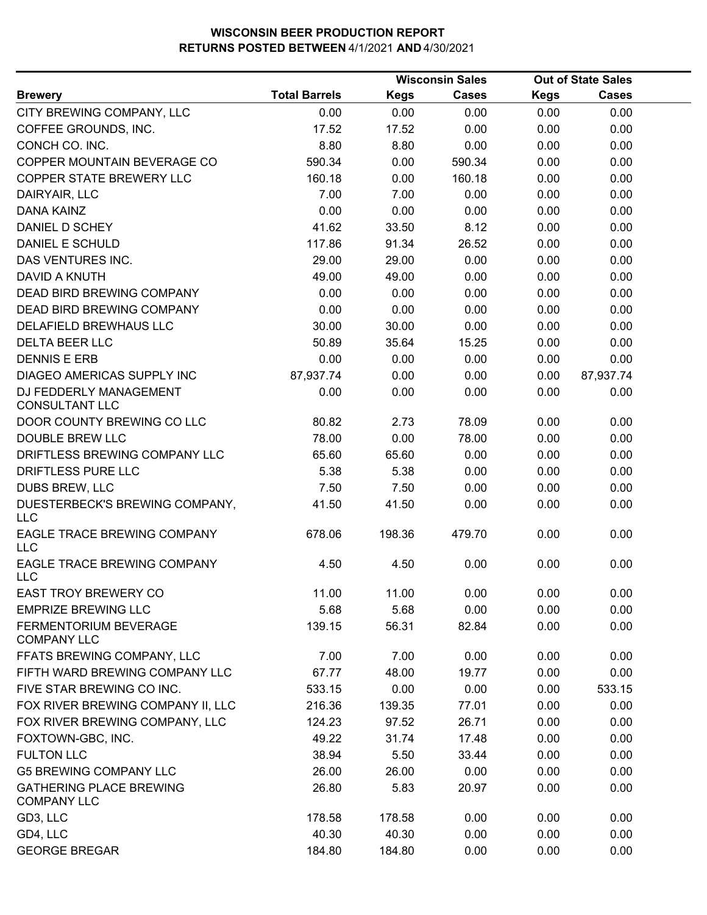|                                                      |                      |             | <b>Wisconsin Sales</b> |             | <b>Out of State Sales</b> |  |
|------------------------------------------------------|----------------------|-------------|------------------------|-------------|---------------------------|--|
| <b>Brewery</b>                                       | <b>Total Barrels</b> | <b>Kegs</b> | <b>Cases</b>           | <b>Kegs</b> | <b>Cases</b>              |  |
| CITY BREWING COMPANY, LLC                            | 0.00                 | 0.00        | 0.00                   | 0.00        | 0.00                      |  |
| COFFEE GROUNDS, INC.                                 | 17.52                | 17.52       | 0.00                   | 0.00        | 0.00                      |  |
| CONCH CO. INC.                                       | 8.80                 | 8.80        | 0.00                   | 0.00        | 0.00                      |  |
| COPPER MOUNTAIN BEVERAGE CO                          | 590.34               | 0.00        | 590.34                 | 0.00        | 0.00                      |  |
| COPPER STATE BREWERY LLC                             | 160.18               | 0.00        | 160.18                 | 0.00        | 0.00                      |  |
| DAIRYAIR, LLC                                        | 7.00                 | 7.00        | 0.00                   | 0.00        | 0.00                      |  |
| <b>DANA KAINZ</b>                                    | 0.00                 | 0.00        | 0.00                   | 0.00        | 0.00                      |  |
| DANIEL D SCHEY                                       | 41.62                | 33.50       | 8.12                   | 0.00        | 0.00                      |  |
| DANIEL E SCHULD                                      | 117.86               | 91.34       | 26.52                  | 0.00        | 0.00                      |  |
| DAS VENTURES INC.                                    | 29.00                | 29.00       | 0.00                   | 0.00        | 0.00                      |  |
| <b>DAVID A KNUTH</b>                                 | 49.00                | 49.00       | 0.00                   | 0.00        | 0.00                      |  |
| DEAD BIRD BREWING COMPANY                            | 0.00                 | 0.00        | 0.00                   | 0.00        | 0.00                      |  |
| <b>DEAD BIRD BREWING COMPANY</b>                     | 0.00                 | 0.00        | 0.00                   | 0.00        | 0.00                      |  |
| DELAFIELD BREWHAUS LLC                               | 30.00                | 30.00       | 0.00                   | 0.00        | 0.00                      |  |
| <b>DELTA BEER LLC</b>                                | 50.89                | 35.64       | 15.25                  | 0.00        | 0.00                      |  |
| <b>DENNIS E ERB</b>                                  | 0.00                 | 0.00        | 0.00                   | 0.00        | 0.00                      |  |
| DIAGEO AMERICAS SUPPLY INC                           | 87,937.74            | 0.00        | 0.00                   | 0.00        | 87,937.74                 |  |
| DJ FEDDERLY MANAGEMENT<br><b>CONSULTANT LLC</b>      | 0.00                 | 0.00        | 0.00                   | 0.00        | 0.00                      |  |
| DOOR COUNTY BREWING CO LLC                           | 80.82                | 2.73        | 78.09                  | 0.00        | 0.00                      |  |
| DOUBLE BREW LLC                                      | 78.00                | 0.00        | 78.00                  | 0.00        | 0.00                      |  |
| DRIFTLESS BREWING COMPANY LLC                        | 65.60                | 65.60       | 0.00                   | 0.00        | 0.00                      |  |
| DRIFTLESS PURE LLC                                   | 5.38                 | 5.38        | 0.00                   | 0.00        | 0.00                      |  |
| <b>DUBS BREW, LLC</b>                                | 7.50                 | 7.50        | 0.00                   | 0.00        | 0.00                      |  |
| DUESTERBECK'S BREWING COMPANY,<br><b>LLC</b>         | 41.50                | 41.50       | 0.00                   | 0.00        | 0.00                      |  |
| EAGLE TRACE BREWING COMPANY<br><b>LLC</b>            | 678.06               | 198.36      | 479.70                 | 0.00        | 0.00                      |  |
| <b>EAGLE TRACE BREWING COMPANY</b><br><b>LLC</b>     | 4.50                 | 4.50        | 0.00                   | 0.00        | 0.00                      |  |
| EAST TROY BREWERY CO                                 | 11.00                | 11.00       | 0.00                   | 0.00        | 0.00                      |  |
| <b>EMPRIZE BREWING LLC</b>                           | 5.68                 | 5.68        | 0.00                   | 0.00        | 0.00                      |  |
| FERMENTORIUM BEVERAGE<br><b>COMPANY LLC</b>          | 139.15               | 56.31       | 82.84                  | 0.00        | 0.00                      |  |
| FFATS BREWING COMPANY, LLC                           | 7.00                 | 7.00        | 0.00                   | 0.00        | 0.00                      |  |
| FIFTH WARD BREWING COMPANY LLC                       | 67.77                | 48.00       | 19.77                  | 0.00        | 0.00                      |  |
| FIVE STAR BREWING CO INC.                            | 533.15               | 0.00        | 0.00                   | 0.00        | 533.15                    |  |
| FOX RIVER BREWING COMPANY II, LLC                    | 216.36               | 139.35      | 77.01                  | 0.00        | 0.00                      |  |
| FOX RIVER BREWING COMPANY, LLC                       | 124.23               | 97.52       | 26.71                  | 0.00        | 0.00                      |  |
| FOXTOWN-GBC, INC.                                    | 49.22                | 31.74       | 17.48                  | 0.00        | 0.00                      |  |
| <b>FULTON LLC</b>                                    | 38.94                | 5.50        | 33.44                  | 0.00        | 0.00                      |  |
| <b>G5 BREWING COMPANY LLC</b>                        | 26.00                | 26.00       | 0.00                   | 0.00        | 0.00                      |  |
| <b>GATHERING PLACE BREWING</b><br><b>COMPANY LLC</b> | 26.80                | 5.83        | 20.97                  | 0.00        | 0.00                      |  |
| GD3, LLC                                             | 178.58               | 178.58      | 0.00                   | 0.00        | 0.00                      |  |
| GD4, LLC                                             | 40.30                | 40.30       | 0.00                   | 0.00        | 0.00                      |  |
| <b>GEORGE BREGAR</b>                                 | 184.80               | 184.80      | 0.00                   | 0.00        | 0.00                      |  |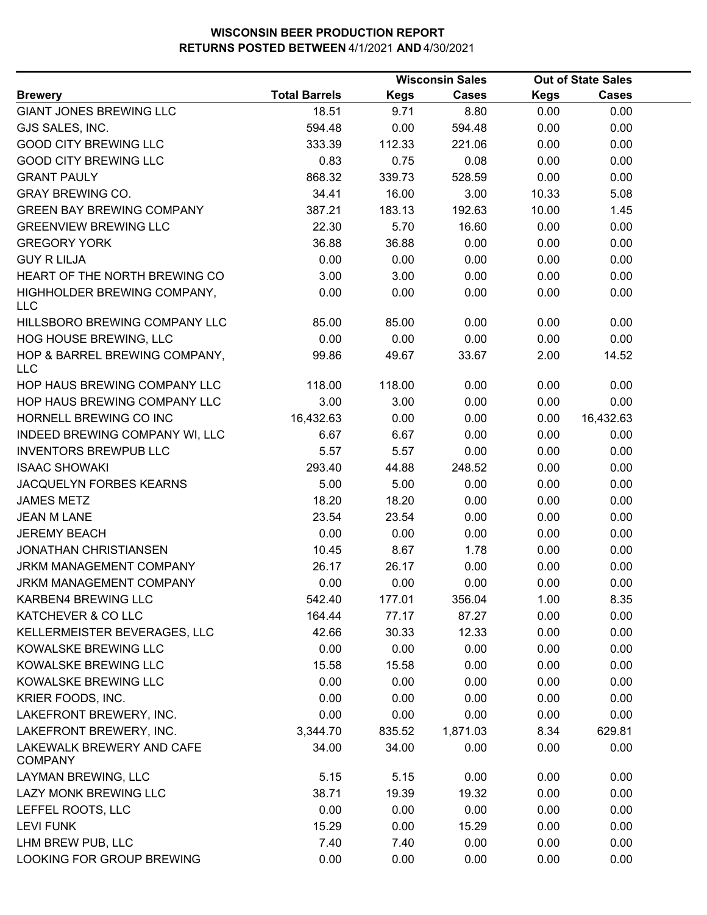|                                             |                      |             | <b>Wisconsin Sales</b> |             | <b>Out of State Sales</b> |  |
|---------------------------------------------|----------------------|-------------|------------------------|-------------|---------------------------|--|
| <b>Brewery</b>                              | <b>Total Barrels</b> | <b>Kegs</b> | Cases                  | <b>Kegs</b> | <b>Cases</b>              |  |
| <b>GIANT JONES BREWING LLC</b>              | 18.51                | 9.71        | 8.80                   | 0.00        | 0.00                      |  |
| GJS SALES, INC.                             | 594.48               | 0.00        | 594.48                 | 0.00        | 0.00                      |  |
| <b>GOOD CITY BREWING LLC</b>                | 333.39               | 112.33      | 221.06                 | 0.00        | 0.00                      |  |
| <b>GOOD CITY BREWING LLC</b>                | 0.83                 | 0.75        | 0.08                   | 0.00        | 0.00                      |  |
| <b>GRANT PAULY</b>                          | 868.32               | 339.73      | 528.59                 | 0.00        | 0.00                      |  |
| <b>GRAY BREWING CO.</b>                     | 34.41                | 16.00       | 3.00                   | 10.33       | 5.08                      |  |
| <b>GREEN BAY BREWING COMPANY</b>            | 387.21               | 183.13      | 192.63                 | 10.00       | 1.45                      |  |
| <b>GREENVIEW BREWING LLC</b>                | 22.30                | 5.70        | 16.60                  | 0.00        | 0.00                      |  |
| <b>GREGORY YORK</b>                         | 36.88                | 36.88       | 0.00                   | 0.00        | 0.00                      |  |
| <b>GUY R LILJA</b>                          | 0.00                 | 0.00        | 0.00                   | 0.00        | 0.00                      |  |
| HEART OF THE NORTH BREWING CO               | 3.00                 | 3.00        | 0.00                   | 0.00        | 0.00                      |  |
| HIGHHOLDER BREWING COMPANY,<br><b>LLC</b>   | 0.00                 | 0.00        | 0.00                   | 0.00        | 0.00                      |  |
| HILLSBORO BREWING COMPANY LLC               | 85.00                | 85.00       | 0.00                   | 0.00        | 0.00                      |  |
| HOG HOUSE BREWING, LLC                      | 0.00                 | 0.00        | 0.00                   | 0.00        | 0.00                      |  |
| HOP & BARREL BREWING COMPANY,<br><b>LLC</b> | 99.86                | 49.67       | 33.67                  | 2.00        | 14.52                     |  |
| HOP HAUS BREWING COMPANY LLC                | 118.00               | 118.00      | 0.00                   | 0.00        | 0.00                      |  |
| HOP HAUS BREWING COMPANY LLC                | 3.00                 | 3.00        | 0.00                   | 0.00        | 0.00                      |  |
| HORNELL BREWING CO INC                      | 16,432.63            | 0.00        | 0.00                   | 0.00        | 16,432.63                 |  |
| INDEED BREWING COMPANY WI, LLC              | 6.67                 | 6.67        | 0.00                   | 0.00        | 0.00                      |  |
| <b>INVENTORS BREWPUB LLC</b>                | 5.57                 | 5.57        | 0.00                   | 0.00        | 0.00                      |  |
| <b>ISAAC SHOWAKI</b>                        | 293.40               | 44.88       | 248.52                 | 0.00        | 0.00                      |  |
| JACQUELYN FORBES KEARNS                     | 5.00                 | 5.00        | 0.00                   | 0.00        | 0.00                      |  |
| <b>JAMES METZ</b>                           | 18.20                | 18.20       | 0.00                   | 0.00        | 0.00                      |  |
| <b>JEAN M LANE</b>                          | 23.54                | 23.54       | 0.00                   | 0.00        | 0.00                      |  |
| <b>JEREMY BEACH</b>                         | 0.00                 | 0.00        | 0.00                   | 0.00        | 0.00                      |  |
| <b>JONATHAN CHRISTIANSEN</b>                | 10.45                | 8.67        | 1.78                   | 0.00        | 0.00                      |  |
| <b>JRKM MANAGEMENT COMPANY</b>              | 26.17                | 26.17       | 0.00                   | 0.00        | 0.00                      |  |
| JRKM MANAGEMENT COMPANY                     | 0.00                 | 0.00        | 0.00                   | 0.00        | 0.00                      |  |
| KARBEN4 BREWING LLC                         | 542.40               | 177.01      | 356.04                 | 1.00        | 8.35                      |  |
| KATCHEVER & CO LLC                          | 164.44               | 77.17       | 87.27                  | 0.00        | 0.00                      |  |
| KELLERMEISTER BEVERAGES, LLC                | 42.66                | 30.33       | 12.33                  | 0.00        | 0.00                      |  |
| KOWALSKE BREWING LLC                        | 0.00                 | 0.00        | 0.00                   | 0.00        | 0.00                      |  |
| KOWALSKE BREWING LLC                        | 15.58                | 15.58       | 0.00                   | 0.00        | 0.00                      |  |
| KOWALSKE BREWING LLC                        | 0.00                 | 0.00        | 0.00                   | 0.00        | 0.00                      |  |
| KRIER FOODS, INC.                           | 0.00                 | 0.00        | 0.00                   | 0.00        | 0.00                      |  |
| LAKEFRONT BREWERY, INC.                     | 0.00                 | 0.00        | 0.00                   | 0.00        | 0.00                      |  |
| LAKEFRONT BREWERY, INC.                     | 3,344.70             | 835.52      | 1,871.03               | 8.34        | 629.81                    |  |
| LAKEWALK BREWERY AND CAFE<br><b>COMPANY</b> | 34.00                | 34.00       | 0.00                   | 0.00        | 0.00                      |  |
| LAYMAN BREWING, LLC                         | 5.15                 | 5.15        | 0.00                   | 0.00        | 0.00                      |  |
| LAZY MONK BREWING LLC                       | 38.71                | 19.39       | 19.32                  | 0.00        | 0.00                      |  |
| LEFFEL ROOTS, LLC                           | 0.00                 | 0.00        | 0.00                   | 0.00        | 0.00                      |  |
| <b>LEVI FUNK</b>                            | 15.29                | 0.00        | 15.29                  | 0.00        | 0.00                      |  |
| LHM BREW PUB, LLC                           | 7.40                 | 7.40        | 0.00                   | 0.00        | 0.00                      |  |
| LOOKING FOR GROUP BREWING                   | 0.00                 | 0.00        | 0.00                   | 0.00        | 0.00                      |  |
|                                             |                      |             |                        |             |                           |  |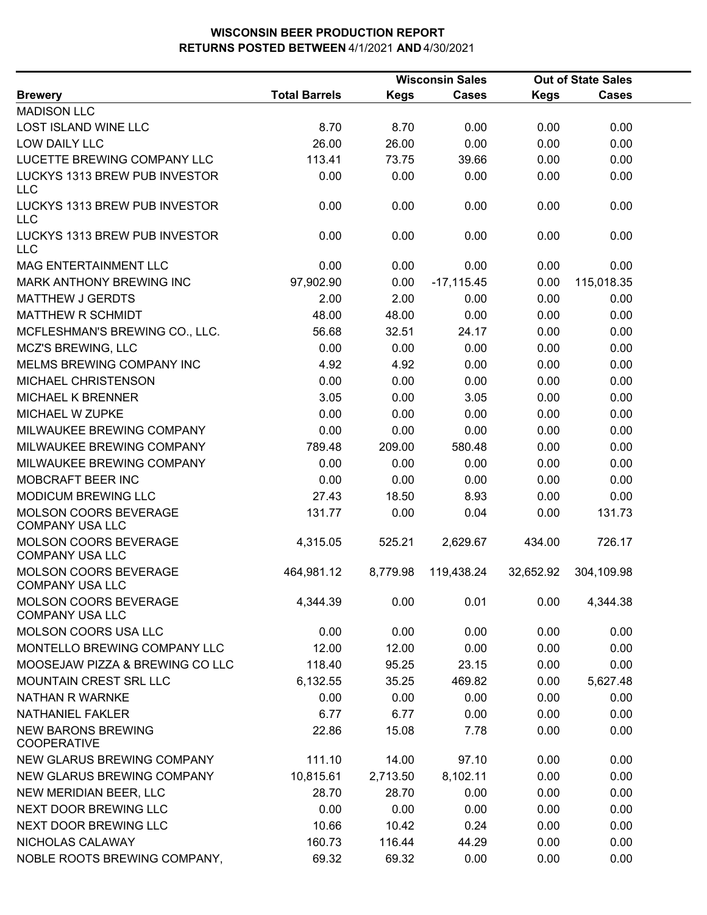|                                                        |                      |             | <b>Wisconsin Sales</b> |           | <b>Out of State Sales</b> |  |
|--------------------------------------------------------|----------------------|-------------|------------------------|-----------|---------------------------|--|
| <b>Brewery</b>                                         | <b>Total Barrels</b> | <b>Kegs</b> | <b>Cases</b>           | Kegs      | <b>Cases</b>              |  |
| <b>MADISON LLC</b>                                     |                      |             |                        |           |                           |  |
| LOST ISLAND WINE LLC                                   | 8.70                 | 8.70        | 0.00                   | 0.00      | 0.00                      |  |
| LOW DAILY LLC                                          | 26.00                | 26.00       | 0.00                   | 0.00      | 0.00                      |  |
| LUCETTE BREWING COMPANY LLC                            | 113.41               | 73.75       | 39.66                  | 0.00      | 0.00                      |  |
| LUCKYS 1313 BREW PUB INVESTOR<br><b>LLC</b>            | 0.00                 | 0.00        | 0.00                   | 0.00      | 0.00                      |  |
| LUCKYS 1313 BREW PUB INVESTOR<br><b>LLC</b>            | 0.00                 | 0.00        | 0.00                   | 0.00      | 0.00                      |  |
| LUCKYS 1313 BREW PUB INVESTOR<br><b>LLC</b>            | 0.00                 | 0.00        | 0.00                   | 0.00      | 0.00                      |  |
| MAG ENTERTAINMENT LLC                                  | 0.00                 | 0.00        | 0.00                   | 0.00      | 0.00                      |  |
| MARK ANTHONY BREWING INC                               | 97,902.90            | 0.00        | $-17,115.45$           | 0.00      | 115,018.35                |  |
| <b>MATTHEW J GERDTS</b>                                | 2.00                 | 2.00        | 0.00                   | 0.00      | 0.00                      |  |
| <b>MATTHEW R SCHMIDT</b>                               | 48.00                | 48.00       | 0.00                   | 0.00      | 0.00                      |  |
| MCFLESHMAN'S BREWING CO., LLC.                         | 56.68                | 32.51       | 24.17                  | 0.00      | 0.00                      |  |
| <b>MCZ'S BREWING, LLC</b>                              | 0.00                 | 0.00        | 0.00                   | 0.00      | 0.00                      |  |
| MELMS BREWING COMPANY INC                              | 4.92                 | 4.92        | 0.00                   | 0.00      | 0.00                      |  |
| MICHAEL CHRISTENSON                                    | 0.00                 | 0.00        | 0.00                   | 0.00      | 0.00                      |  |
| <b>MICHAEL K BRENNER</b>                               | 3.05                 | 0.00        | 3.05                   | 0.00      | 0.00                      |  |
| MICHAEL W ZUPKE                                        | 0.00                 | 0.00        | 0.00                   | 0.00      | 0.00                      |  |
| MILWAUKEE BREWING COMPANY                              | 0.00                 | 0.00        | 0.00                   | 0.00      | 0.00                      |  |
| MILWAUKEE BREWING COMPANY                              | 789.48               | 209.00      | 580.48                 | 0.00      | 0.00                      |  |
| MILWAUKEE BREWING COMPANY                              | 0.00                 | 0.00        | 0.00                   | 0.00      | 0.00                      |  |
| MOBCRAFT BEER INC                                      | 0.00                 | 0.00        | 0.00                   | 0.00      | 0.00                      |  |
| MODICUM BREWING LLC                                    | 27.43                | 18.50       | 8.93                   | 0.00      | 0.00                      |  |
| MOLSON COORS BEVERAGE<br><b>COMPANY USA LLC</b>        | 131.77               | 0.00        | 0.04                   | 0.00      | 131.73                    |  |
| MOLSON COORS BEVERAGE<br><b>COMPANY USA LLC</b>        | 4,315.05             | 525.21      | 2,629.67               | 434.00    | 726.17                    |  |
| MOLSON COORS BEVERAGE<br><b>COMPANY USA LLC</b>        | 464,981.12           | 8,779.98    | 119,438.24             | 32,652.92 | 304,109.98                |  |
| <b>MOLSON COORS BEVERAGE</b><br><b>COMPANY USA LLC</b> | 4,344.39             | 0.00        | 0.01                   | 0.00      | 4,344.38                  |  |
| MOLSON COORS USA LLC                                   | 0.00                 | 0.00        | 0.00                   | 0.00      | 0.00                      |  |
| MONTELLO BREWING COMPANY LLC                           | 12.00                | 12.00       | 0.00                   | 0.00      | 0.00                      |  |
| MOOSEJAW PIZZA & BREWING CO LLC                        | 118.40               | 95.25       | 23.15                  | 0.00      | 0.00                      |  |
| <b>MOUNTAIN CREST SRL LLC</b>                          | 6,132.55             | 35.25       | 469.82                 | 0.00      | 5,627.48                  |  |
| <b>NATHAN R WARNKE</b>                                 | 0.00                 | 0.00        | 0.00                   | 0.00      | 0.00                      |  |
| <b>NATHANIEL FAKLER</b>                                | 6.77                 | 6.77        | 0.00                   | 0.00      | 0.00                      |  |
| <b>NEW BARONS BREWING</b><br><b>COOPERATIVE</b>        | 22.86                | 15.08       | 7.78                   | 0.00      | 0.00                      |  |
| NEW GLARUS BREWING COMPANY                             | 111.10               | 14.00       | 97.10                  | 0.00      | 0.00                      |  |
| NEW GLARUS BREWING COMPANY                             | 10,815.61            | 2,713.50    | 8,102.11               | 0.00      | 0.00                      |  |
| NEW MERIDIAN BEER, LLC                                 | 28.70                | 28.70       | 0.00                   | 0.00      | 0.00                      |  |
| NEXT DOOR BREWING LLC                                  | 0.00                 | 0.00        | 0.00                   | 0.00      | 0.00                      |  |
| NEXT DOOR BREWING LLC                                  | 10.66                | 10.42       | 0.24                   | 0.00      | 0.00                      |  |
| NICHOLAS CALAWAY                                       | 160.73               | 116.44      | 44.29                  | 0.00      | 0.00                      |  |
| NOBLE ROOTS BREWING COMPANY,                           | 69.32                | 69.32       | 0.00                   | 0.00      | 0.00                      |  |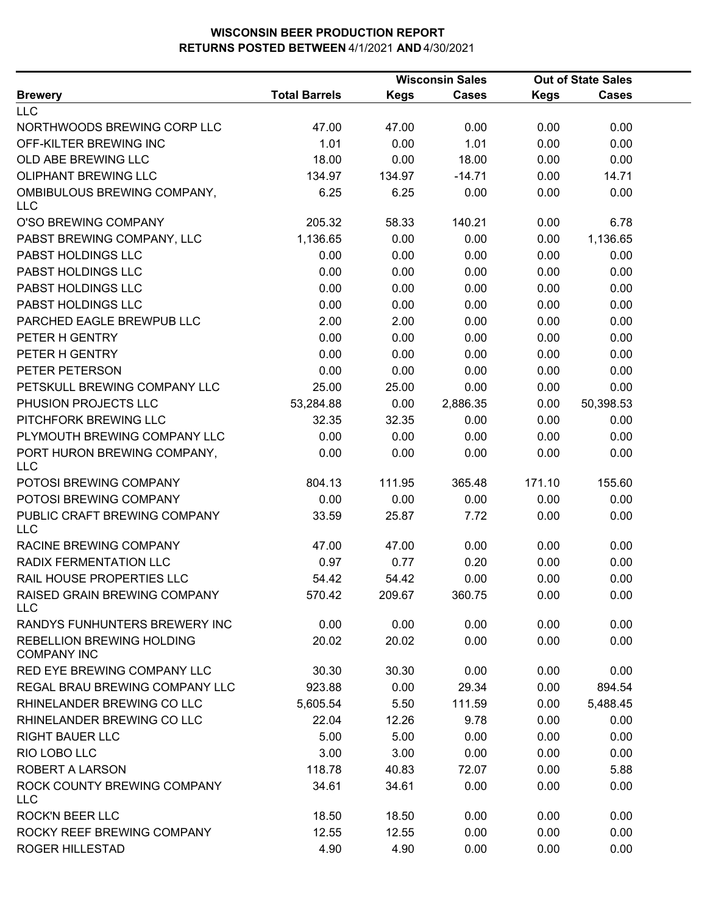|                                                        |                      | <b>Wisconsin Sales</b> |              |             | <b>Out of State Sales</b> |  |  |
|--------------------------------------------------------|----------------------|------------------------|--------------|-------------|---------------------------|--|--|
| <b>Brewery</b>                                         | <b>Total Barrels</b> | <b>Kegs</b>            | <b>Cases</b> | <b>Kegs</b> | <b>Cases</b>              |  |  |
| <b>LLC</b>                                             |                      |                        |              |             |                           |  |  |
| NORTHWOODS BREWING CORP LLC                            | 47.00                | 47.00                  | 0.00         | 0.00        | 0.00                      |  |  |
| OFF-KILTER BREWING INC                                 | 1.01                 | 0.00                   | 1.01         | 0.00        | 0.00                      |  |  |
| OLD ABE BREWING LLC                                    | 18.00                | 0.00                   | 18.00        | 0.00        | 0.00                      |  |  |
| <b>OLIPHANT BREWING LLC</b>                            | 134.97               | 134.97                 | $-14.71$     | 0.00        | 14.71                     |  |  |
| OMBIBULOUS BREWING COMPANY,<br><b>LLC</b>              | 6.25                 | 6.25                   | 0.00         | 0.00        | 0.00                      |  |  |
| O'SO BREWING COMPANY                                   | 205.32               | 58.33                  | 140.21       | 0.00        | 6.78                      |  |  |
| PABST BREWING COMPANY, LLC                             | 1,136.65             | 0.00                   | 0.00         | 0.00        | 1,136.65                  |  |  |
| PABST HOLDINGS LLC                                     | 0.00                 | 0.00                   | 0.00         | 0.00        | 0.00                      |  |  |
| PABST HOLDINGS LLC                                     | 0.00                 | 0.00                   | 0.00         | 0.00        | 0.00                      |  |  |
| PABST HOLDINGS LLC                                     | 0.00                 | 0.00                   | 0.00         | 0.00        | 0.00                      |  |  |
| PABST HOLDINGS LLC                                     | 0.00                 | 0.00                   | 0.00         | 0.00        | 0.00                      |  |  |
| PARCHED EAGLE BREWPUB LLC                              | 2.00                 | 2.00                   | 0.00         | 0.00        | 0.00                      |  |  |
| PETER H GENTRY                                         | 0.00                 | 0.00                   | 0.00         | 0.00        | 0.00                      |  |  |
| PETER H GENTRY                                         | 0.00                 | 0.00                   | 0.00         | 0.00        | 0.00                      |  |  |
| PETER PETERSON                                         | 0.00                 | 0.00                   | 0.00         | 0.00        | 0.00                      |  |  |
| PETSKULL BREWING COMPANY LLC                           | 25.00                | 25.00                  | 0.00         | 0.00        | 0.00                      |  |  |
| PHUSION PROJECTS LLC                                   | 53,284.88            | 0.00                   | 2,886.35     | 0.00        | 50,398.53                 |  |  |
| PITCHFORK BREWING LLC                                  | 32.35                | 32.35                  | 0.00         | 0.00        | 0.00                      |  |  |
| PLYMOUTH BREWING COMPANY LLC                           | 0.00                 | 0.00                   | 0.00         | 0.00        | 0.00                      |  |  |
| PORT HURON BREWING COMPANY,<br><b>LLC</b>              | 0.00                 | 0.00                   | 0.00         | 0.00        | 0.00                      |  |  |
| POTOSI BREWING COMPANY                                 | 804.13               | 111.95                 | 365.48       | 171.10      | 155.60                    |  |  |
| POTOSI BREWING COMPANY                                 | 0.00                 | 0.00                   | 0.00         | 0.00        | 0.00                      |  |  |
| PUBLIC CRAFT BREWING COMPANY<br><b>LLC</b>             | 33.59                | 25.87                  | 7.72         | 0.00        | 0.00                      |  |  |
| RACINE BREWING COMPANY                                 | 47.00                | 47.00                  | 0.00         | 0.00        | 0.00                      |  |  |
| RADIX FERMENTATION LLC                                 | 0.97                 | 0.77                   | 0.20         | 0.00        | 0.00                      |  |  |
| RAIL HOUSE PROPERTIES LLC                              | 54.42                | 54.42                  | 0.00         | 0.00        | 0.00                      |  |  |
| RAISED GRAIN BREWING COMPANY<br><b>LLC</b>             | 570.42               | 209.67                 | 360.75       | 0.00        | 0.00                      |  |  |
| RANDYS FUNHUNTERS BREWERY INC                          | 0.00                 | 0.00                   | 0.00         | 0.00        | 0.00                      |  |  |
| <b>REBELLION BREWING HOLDING</b><br><b>COMPANY INC</b> | 20.02                | 20.02                  | 0.00         | 0.00        | 0.00                      |  |  |
| RED EYE BREWING COMPANY LLC                            | 30.30                | 30.30                  | 0.00         | 0.00        | 0.00                      |  |  |
| REGAL BRAU BREWING COMPANY LLC                         | 923.88               | 0.00                   | 29.34        | 0.00        | 894.54                    |  |  |
| RHINELANDER BREWING CO LLC                             | 5,605.54             | 5.50                   | 111.59       | 0.00        | 5,488.45                  |  |  |
| RHINELANDER BREWING CO LLC                             | 22.04                | 12.26                  | 9.78         | 0.00        | 0.00                      |  |  |
| <b>RIGHT BAUER LLC</b>                                 | 5.00                 | 5.00                   | 0.00         | 0.00        | 0.00                      |  |  |
| RIO LOBO LLC                                           | 3.00                 | 3.00                   | 0.00         | 0.00        | 0.00                      |  |  |
| <b>ROBERT A LARSON</b>                                 | 118.78               | 40.83                  | 72.07        | 0.00        | 5.88                      |  |  |
| ROCK COUNTY BREWING COMPANY<br><b>LLC</b>              | 34.61                | 34.61                  | 0.00         | 0.00        | 0.00                      |  |  |
| <b>ROCK'N BEER LLC</b>                                 | 18.50                | 18.50                  | 0.00         | 0.00        | 0.00                      |  |  |
| ROCKY REEF BREWING COMPANY                             | 12.55                | 12.55                  | 0.00         | 0.00        | 0.00                      |  |  |
| <b>ROGER HILLESTAD</b>                                 | 4.90                 | 4.90                   | 0.00         | 0.00        | 0.00                      |  |  |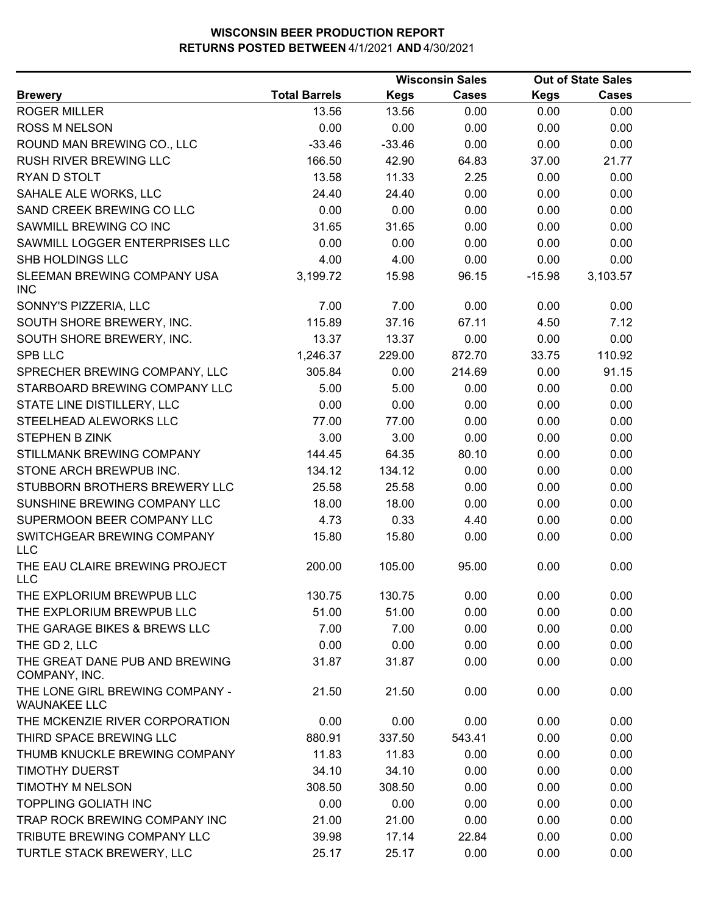|                                                        |                      |             | <b>Wisconsin Sales</b> |             | <b>Out of State Sales</b> |  |  |
|--------------------------------------------------------|----------------------|-------------|------------------------|-------------|---------------------------|--|--|
| <b>Brewery</b>                                         | <b>Total Barrels</b> | <b>Kegs</b> | <b>Cases</b>           | <b>Kegs</b> | <b>Cases</b>              |  |  |
| <b>ROGER MILLER</b>                                    | 13.56                | 13.56       | 0.00                   | 0.00        | 0.00                      |  |  |
| <b>ROSS M NELSON</b>                                   | 0.00                 | 0.00        | 0.00                   | 0.00        | 0.00                      |  |  |
| ROUND MAN BREWING CO., LLC                             | $-33.46$             | $-33.46$    | 0.00                   | 0.00        | 0.00                      |  |  |
| RUSH RIVER BREWING LLC                                 | 166.50               | 42.90       | 64.83                  | 37.00       | 21.77                     |  |  |
| RYAN D STOLT                                           | 13.58                | 11.33       | 2.25                   | 0.00        | 0.00                      |  |  |
| SAHALE ALE WORKS, LLC                                  | 24.40                | 24.40       | 0.00                   | 0.00        | 0.00                      |  |  |
| SAND CREEK BREWING CO LLC                              | 0.00                 | 0.00        | 0.00                   | 0.00        | 0.00                      |  |  |
| SAWMILL BREWING CO INC                                 | 31.65                | 31.65       | 0.00                   | 0.00        | 0.00                      |  |  |
| SAWMILL LOGGER ENTERPRISES LLC                         | 0.00                 | 0.00        | 0.00                   | 0.00        | 0.00                      |  |  |
| SHB HOLDINGS LLC                                       | 4.00                 | 4.00        | 0.00                   | 0.00        | 0.00                      |  |  |
| SLEEMAN BREWING COMPANY USA<br><b>INC</b>              | 3,199.72             | 15.98       | 96.15                  | $-15.98$    | 3,103.57                  |  |  |
| SONNY'S PIZZERIA, LLC                                  | 7.00                 | 7.00        | 0.00                   | 0.00        | 0.00                      |  |  |
| SOUTH SHORE BREWERY, INC.                              | 115.89               | 37.16       | 67.11                  | 4.50        | 7.12                      |  |  |
| SOUTH SHORE BREWERY, INC.                              | 13.37                | 13.37       | 0.00                   | 0.00        | 0.00                      |  |  |
| <b>SPB LLC</b>                                         | 1,246.37             | 229.00      | 872.70                 | 33.75       | 110.92                    |  |  |
| SPRECHER BREWING COMPANY, LLC                          | 305.84               | 0.00        | 214.69                 | 0.00        | 91.15                     |  |  |
| STARBOARD BREWING COMPANY LLC                          | 5.00                 | 5.00        | 0.00                   | 0.00        | 0.00                      |  |  |
| STATE LINE DISTILLERY, LLC                             | 0.00                 | 0.00        | 0.00                   | 0.00        | 0.00                      |  |  |
| STEELHEAD ALEWORKS LLC                                 | 77.00                | 77.00       | 0.00                   | 0.00        | 0.00                      |  |  |
| STEPHEN B ZINK                                         | 3.00                 | 3.00        | 0.00                   | 0.00        | 0.00                      |  |  |
| STILLMANK BREWING COMPANY                              | 144.45               | 64.35       | 80.10                  | 0.00        | 0.00                      |  |  |
| STONE ARCH BREWPUB INC.                                | 134.12               | 134.12      | 0.00                   | 0.00        | 0.00                      |  |  |
| STUBBORN BROTHERS BREWERY LLC                          | 25.58                | 25.58       | 0.00                   | 0.00        | 0.00                      |  |  |
| SUNSHINE BREWING COMPANY LLC                           | 18.00                | 18.00       | 0.00                   | 0.00        | 0.00                      |  |  |
| SUPERMOON BEER COMPANY LLC                             | 4.73                 | 0.33        | 4.40                   | 0.00        | 0.00                      |  |  |
| SWITCHGEAR BREWING COMPANY<br><b>LLC</b>               | 15.80                | 15.80       | 0.00                   | 0.00        | 0.00                      |  |  |
| THE EAU CLAIRE BREWING PROJECT<br><b>LLC</b>           | 200.00               | 105.00      | 95.00                  | 0.00        | 0.00                      |  |  |
| THE EXPLORIUM BREWPUB LLC                              | 130.75               | 130.75      | 0.00                   | 0.00        | 0.00                      |  |  |
| THE EXPLORIUM BREWPUB LLC                              | 51.00                | 51.00       | 0.00                   | 0.00        | 0.00                      |  |  |
| THE GARAGE BIKES & BREWS LLC                           | 7.00                 | 7.00        | 0.00                   | 0.00        | 0.00                      |  |  |
| THE GD 2, LLC                                          | 0.00                 | 0.00        | 0.00                   | 0.00        | 0.00                      |  |  |
| THE GREAT DANE PUB AND BREWING<br>COMPANY, INC.        | 31.87                | 31.87       | 0.00                   | 0.00        | 0.00                      |  |  |
| THE LONE GIRL BREWING COMPANY -<br><b>WAUNAKEE LLC</b> | 21.50                | 21.50       | 0.00                   | 0.00        | 0.00                      |  |  |
| THE MCKENZIE RIVER CORPORATION                         | 0.00                 | 0.00        | 0.00                   | 0.00        | 0.00                      |  |  |
| THIRD SPACE BREWING LLC                                | 880.91               | 337.50      | 543.41                 | 0.00        | 0.00                      |  |  |
| THUMB KNUCKLE BREWING COMPANY                          | 11.83                | 11.83       | 0.00                   | 0.00        | 0.00                      |  |  |
| <b>TIMOTHY DUERST</b>                                  | 34.10                | 34.10       | 0.00                   | 0.00        | 0.00                      |  |  |
| <b>TIMOTHY M NELSON</b>                                | 308.50               | 308.50      | 0.00                   | 0.00        | 0.00                      |  |  |
| <b>TOPPLING GOLIATH INC</b>                            | 0.00                 | 0.00        | 0.00                   | 0.00        | 0.00                      |  |  |
| TRAP ROCK BREWING COMPANY INC                          | 21.00                | 21.00       | 0.00                   | 0.00        | 0.00                      |  |  |
| TRIBUTE BREWING COMPANY LLC                            | 39.98                | 17.14       | 22.84                  | 0.00        | 0.00                      |  |  |
| TURTLE STACK BREWERY, LLC                              | 25.17                | 25.17       | 0.00                   | 0.00        | 0.00                      |  |  |